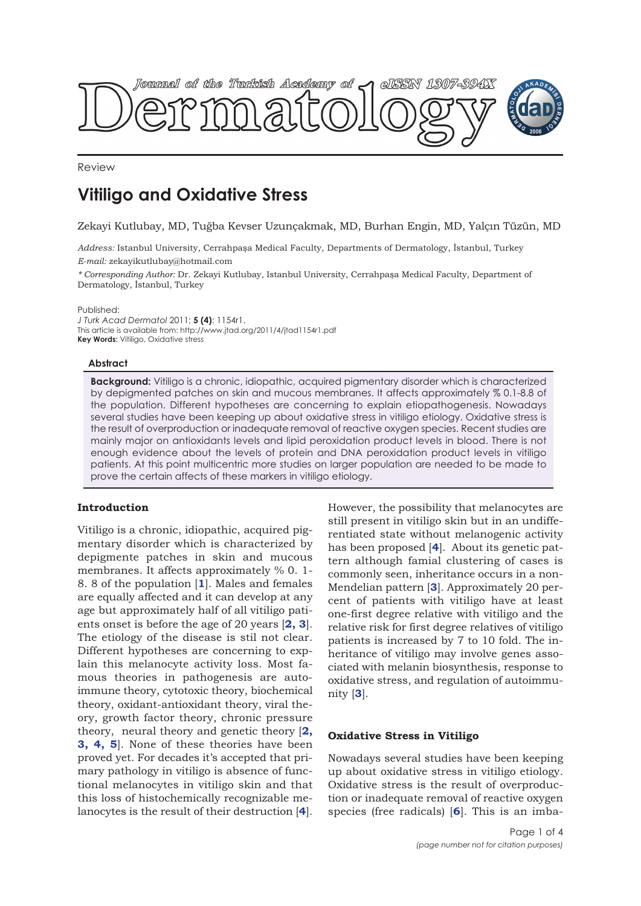

Review

# **Vitiligo and Oxidative Stress**

Zekayi Kutlubay, MD, Tuğba Kevser Uzunçakmak, MD, Burhan Engin, MD, Yalçın Tüzün, MD

*Address:* Istanbul University, Cerrahpaşa Medical Faculty, Departments of Dermatology, İstanbul, Turkey *E-mail:* zekayikutlubay@hotmail.com

*\* Corresponding Author:* Dr. Zekayi Kutlubay, Istanbul University, Cerrahpaşa Medical Faculty, Department of Dermatology, İstanbul, Turkey

Published:

*J Turk Acad Dermatol* 2011; **5 (4)**: 1154r1. This article is available from: http://www.jtad.org/2011/4/jtad1154r1.pdf **Key Words:** Vitiligo, Oxidative stress

### **Abstract**

**Background:** Vitiligo is a chronic, idiopathic, acquired pigmentary disorder which is characterized by depigmented patches on skin and mucous membranes. It affects approximately % 0.1-8.8 of the population. Different hypotheses are concerning to explain etiopathogenesis. Nowadays several studies have been keeping up about oxidative stress in vitiligo etiology. Oxidative stress is the result of overproduction or inadequate removal of reactive oxygen species. Recent studies are mainly major on antioxidants levels and lipid peroxidation product levels in blood. There is not enough evidence about the levels of protein and DNA peroxidation product levels in vitiligo patients. At this point multicentric more studies on larger population are needed to be made to prove the certain affects of these markers in vitiligo etiology.

## **Introduction**

Vitiligo is a chronic, idiopathic, acquired pigmentary disorder which is characterized by depigmente patches in skin and mucous membranes. It affects approximately % 0. 1- 8. 8 of the population [**1**]. Males and females are equally affected and it can develop at any age but approximately half of all vitiligo patients onset is before the age of 20 years [**2, 3**]. The etiology of the disease is stil not clear. Different hypotheses are concerning to explain this melanocyte activity loss. Most famous theories in pathogenesis are autoimmune theory, cytotoxic theory, biochemical theory, oxidant-antioxidant theory, viral theory, growth factor theory, chronic pressure theory, neural theory and genetic theory [**2, 3, 4, 5**]. None of these theories have been proved yet. For decades it's accepted that primary pathology in vitiligo is absence of functional melanocytes in vitiligo skin and that this loss of histochemically recognizable melanocytes is the result of their destruction [**4**].

However, the possibility that melanocytes are still present in vitiligo skin but in an undifferentiated state without melanogenic activity has been proposed [**4**]. About its genetic pattern although famial clustering of cases is commonly seen, inheritance occurs in a non-Mendelian pattern [**3**]. Approximately 20 percent of patients with vitiligo have at least one-first degree relative with vitiligo and the relative risk for first degree relatives of vitiligo patients is increased by 7 to 10 fold. The inheritance of vitiligo may involve genes associated with melanin biosynthesis, response to oxidative stress, and regulation of autoimmunity [**3**].

## **Oxidative Stress in Vitiligo**

Nowadays several studies have been keeping up about oxidative stress in vitiligo etiology. Oxidative stress is the result of overproduction or inadequate removal of reactive oxygen species (free radicals) [**6**]. This is an imba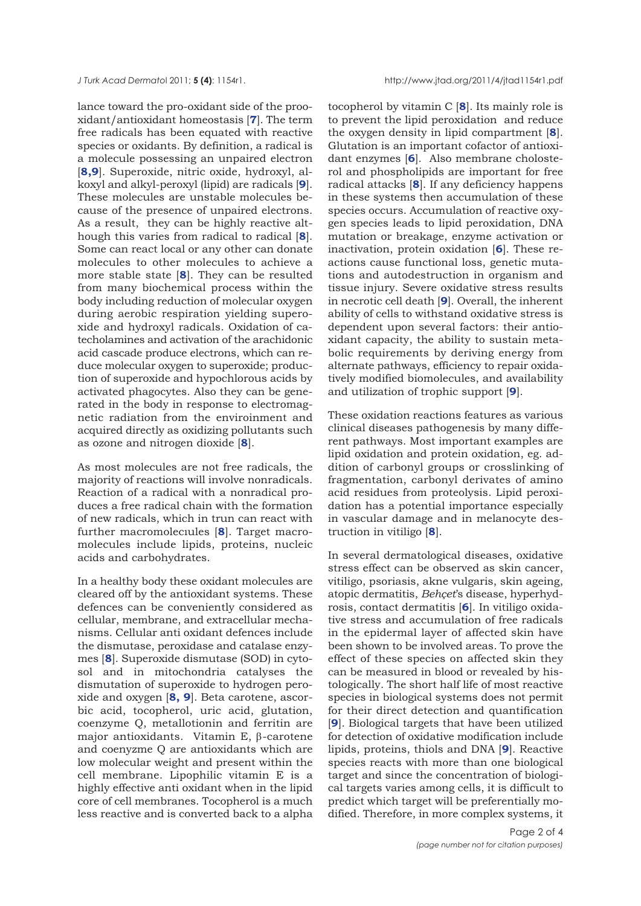*J Turk Acad Dermato*l 2011; **5 (4)**: 1154r1. http://www.jtad.org/2011/4/jtad1154r1.pdf

lance toward the pro-oxidant side of the prooxidant/antioxidant homeostasis [**7**]. The term free radicals has been equated with reactive species or oxidants. By definition, a radical is a molecule possessing an unpaired electron [**8,9**]. Superoxide, nitric oxide, hydroxyl, alkoxyl and alkyl-peroxyl (lipid) are radicals [**9**]. These molecules are unstable molecules because of the presence of unpaired electrons. As a result, they can be highly reactive although this varies from radical to radical [**8**]. Some can react local or any other can donate molecules to other molecules to achieve a more stable state [**8**]. They can be resulted from many biochemical process within the body including reduction of molecular oxygen during aerobic respiration yielding superoxide and hydroxyl radicals. Oxidation of catecholamines and activation of the arachidonic acid cascade produce electrons, which can reduce molecular oxygen to superoxide; production of superoxide and hypochlorous acids by activated phagocytes. Also they can be generated in the body in response to electromagnetic radiation from the enviroinment and acquired directly as oxidizing pollutants such as ozone and nitrogen dioxide [**8**].

As most molecules are not free radicals, the majority of reactions will involve nonradicals. Reaction of a radical with a nonradical produces a free radical chain with the formation of new radicals, which in trun can react with further macromolecıules [**8**]. Target macromolecules include lipids, proteins, nucleic acids and carbohydrates.

In a healthy body these oxidant molecules are cleared off by the antioxidant systems. These defences can be conveniently considered as cellular, membrane, and extracellular mechanisms. Cellular anti oxidant defences include the dismutase, peroxidase and catalase enzymes [**8**]. Superoxide dismutase (SOD) in cytosol and in mitochondria catalyses the dismutation of superoxide to hydrogen peroxide and oxygen [**8, 9**]. Beta carotene, ascorbic acid, tocopherol, uric acid, glutation, coenzyme Q, metallotionin and ferritin are major antioxidants. Vitamin E, β-carotene and coenyzme Q are antioxidants which are low molecular weight and present within the cell membrane. Lipophilic vitamin E is a highly effective anti oxidant when in the lipid core of cell membranes. Tocopherol is a much less reactive and is converted back to a alpha

tocopherol by vitamin C [**8**]. Its mainly role is to prevent the lipid peroxidation and reduce the oxygen density in lipid compartment [**8**]. Glutation is an important cofactor of antioxidant enzymes [**6**]. Also membrane cholosterol and phospholipids are important for free radical attacks [**8**]. If any deficiency happens in these systems then accumulation of these species occurs. Accumulation of reactive oxygen species leads to lipid peroxidation, DNA mutation or breakage, enzyme activation or inactivation, protein oxidation [**6**]. These reactions cause functional loss, genetic mutations and autodestruction in organism and tissue injury. Severe oxidative stress results in necrotic cell death [**9**]. Overall, the inherent ability of cells to withstand oxidative stress is dependent upon several factors: their antioxidant capacity, the ability to sustain metabolic requirements by deriving energy from alternate pathways, efficiency to repair oxidatively modified biomolecules, and availability and utilization of trophic support [**9**].

These oxidation reactions features as various clinical diseases pathogenesis by many different pathways. Most important examples are lipid oxidation and protein oxidation, eg. addition of carbonyl groups or crosslinking of fragmentation, carbonyl derivates of amino acid residues from proteolysis. Lipid peroxidation has a potential importance especially in vascular damage and in melanocyte destruction in vitiligo [**8**].

In several dermatological diseases, oxidative stress effect can be observed as skin cancer, vitiligo, psoriasis, akne vulgaris, skin ageing, atopic dermatitis, *Behçet*'s disease, hyperhydrosis, contact dermatitis [**6**]. In vitiligo oxidative stress and accumulation of free radicals in the epidermal layer of affected skin have been shown to be involved areas. To prove the effect of these species on affected skin they can be measured in blood or revealed by histologically. The short half life of most reactive species in biological systems does not permit for their direct detection and quantification [**9**]. Biological targets that have been utilized for detection of oxidative modification include lipids, proteins, thiols and DNA [**9**]. Reactive species reacts with more than one biological target and since the concentration of biological targets varies among cells, it is difficult to predict which target will be preferentially modified. Therefore, in more complex systems, it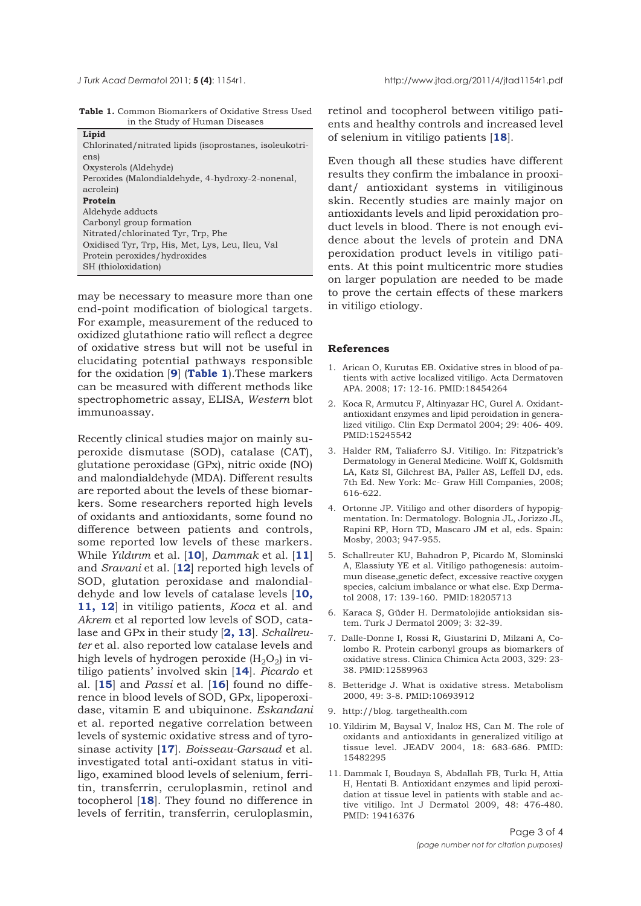|  | <b>Table 1.</b> Common Biomarkers of Oxidative Stress Used |  |  |
|--|------------------------------------------------------------|--|--|
|  | in the Study of Human Diseases                             |  |  |

| Lipid                                                   |
|---------------------------------------------------------|
| Chlorinated/nitrated lipids (isoprostanes, isoleukotri- |
| ens)                                                    |
| Oxysterols (Aldehyde)                                   |
| Peroxides (Malondialdehyde, 4-hydroxy-2-nonenal,        |
| acrolein)                                               |
| Protein                                                 |
| Aldehyde adducts                                        |
| Carbonyl group formation                                |
| Nitrated/chlorinated Tyr, Trp, Phe                      |
| Oxidised Tyr, Trp, His, Met, Lys, Leu, Ileu, Val        |
| Protein peroxides/hydroxides                            |
| SH (thioloxidation)                                     |

may be necessary to measure more than one end-point modification of biological targets. For example, measurement of the reduced to oxidized glutathione ratio will reflect a degree of oxidative stress but will not be useful in elucidating potential pathways responsible for the oxidation [**9**] (**Table 1**).These markers can be measured with different methods like spectrophometric assay, ELISA, *Western* blot immunoassay.

Recently clinical studies major on mainly superoxide dismutase (SOD), catalase (CAT), glutatione peroxidase (GPx), nitric oxide (NO) and malondialdehyde (MDA). Different results are reported about the levels of these biomarkers. Some researchers reported high levels of oxidants and antioxidants, some found no difference between patients and controls, some reported low levels of these markers. While *Yıldırım* et al. [**10**], *Dammak* et al. [**11**] and *Sravani* et al. [**12**] reported high levels of SOD, glutation peroxidase and malondialdehyde and low levels of catalase levels [**10, 11, 12**] in vitiligo patients, *Koca* et al. and *Akrem* et al reported low levels of SOD, catalase and GPx in their study [**2, 13**]. *Schallreuter* et al. also reported low catalase levels and high levels of hydrogen peroxide  $(H_2O_2)$  in vitiligo patients' involved skin [**14**]. *Picardo* et al. [**15**] and *Passi* et al. [**16**] found no difference in blood levels of SOD, GPx, lipoperoxidase, vitamin E and ubiquinone. *Eskandani* et al. reported negative correlation between levels of systemic oxidative stress and of tyrosinase activity [**17**]. *Boisseau-Garsaud* et al. investigated total anti-oxidant status in vitiligo, examined blood levels of selenium, ferritin, transferrin, ceruloplasmin, retinol and tocopherol [**18**]. They found no difference in levels of ferritin, transferrin, ceruloplasmin,

retinol and tocopherol between vitiligo patients and healthy controls and increased level of selenium in vitiligo patients [**18**].

Even though all these studies have different results they confirm the imbalance in prooxidant/ antioxidant systems in vitiliginous skin. Recently studies are mainly major on antioxidants levels and lipid peroxidation product levels in blood. There is not enough evidence about the levels of protein and DNA peroxidation product levels in vitiligo patients. At this point multicentric more studies on larger population are needed to be made to prove the certain effects of these markers in vitiligo etiology.

### **References**

- 1. Arican O, Kurutas EB. Oxidative stres in blood of patients with active localized vitiligo. Acta Dermatoven APA. 2008; 17: 12-16. PMID:18454264
- 2. Koca R, Armutcu F, Altinyazar HC, Gurel A. Oxidantantioxidant enzymes and lipid peroidation in generalized vitiligo. Clin Exp Dermatol 2004; 29: 406- 409. PMID:15245542
- 3. Halder RM, Taliaferro SJ. Vitiligo. In: Fitzpatrick's Dermatology in General Medicine. Wolff K, Goldsmith LA, Katz SI, Gilchrest BA, Paller AS, Leffell DJ, eds. 7th Ed. New York: Mc- Graw Hill Companies, 2008; 616-622.
- 4. Ortonne JP. Vitiligo and other disorders of hypopigmentation. In: Dermatology. Bolognia JL, Jorizzo JL, Rapini RP, Horn TD, Mascaro JM et al, eds. Spain: Mosby, 2003; 947-955.
- 5. Schallreuter KU, Bahadron P, Picardo M, Slominski A, Elassiuty YE et al. Vitiligo pathogenesis: autoimmun disease,genetic defect, excessive reactive oxygen species, calcium imbalance or what else. Exp Dermatol 2008, 17: 139-160. PMID:18205713
- 6. Karaca Ş, Güder H. Dermatolojide antioksidan sistem. Turk J Dermatol 2009; 3: 32-39.
- 7. Dalle-Donne I, Rossi R, Giustarini D, Milzani A, Colombo R. Protein carbonyl groups as biomarkers of oxidative stress. Clinica Chimica Acta 2003, 329: 23- 38. PMID:12589963
- 8. Betteridge J. What is oxidative stress. Metabolism 2000, 49: 3-8. PMID:10693912
- 9. http://blog. targethealth.com
- 10. Yildirim M, Baysal V, İnaloz HS, Can M. The role of oxidants and antioxidants in generalized vitiligo at tissue level. JEADV 2004, 18: 683-686. PMID: 15482295
- 11. Dammak I, Boudaya S, Abdallah FB, Turkı H, Attia H, Hentati B. Antioxidant enzymes and lipid peroxidation at tissue level in patients with stable and active vitiligo. Int J Dermatol 2009, 48: 476-480. PMID: 19416376